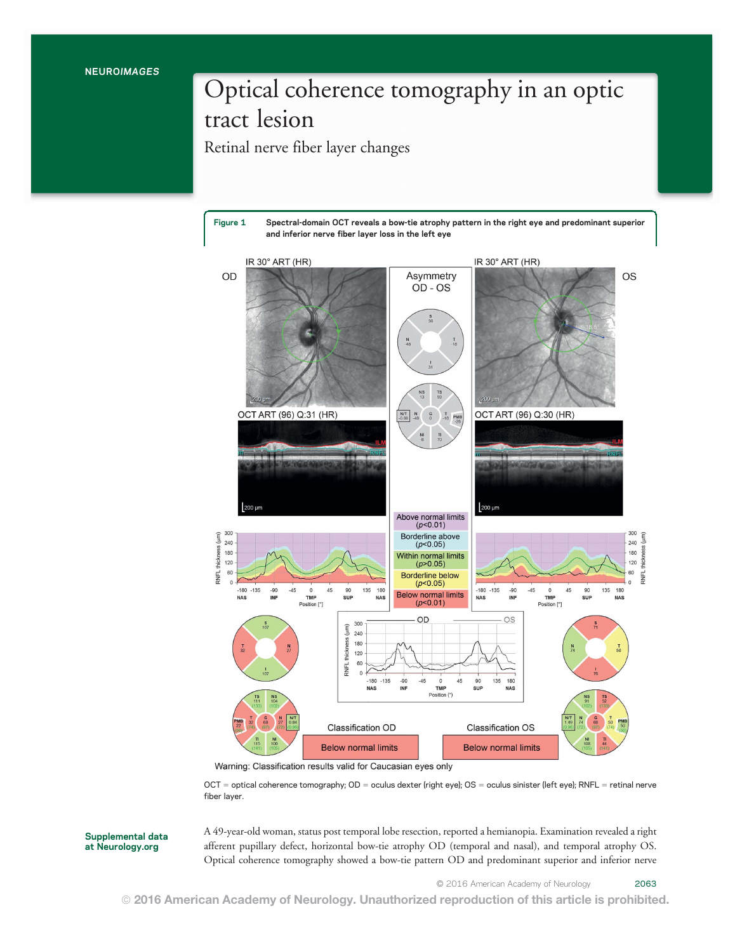## Optical coherence tomography in an optic tract lesion

Retinal nerve fiber layer changes

Figure 1 Spectral-domain OCT reveals a bow-tie atrophy pattern in the right eye and predominant superior and inferior nerve fiber layer loss in the left eye



Warning: Classification results valid for Caucasian eyes only

 $OCT =$  optical coherence tomography;  $OD =$  oculus dexter (right eye);  $OS =$  oculus sinister (left eye); RNFL = retinal nerve fiber layer.

Supplemental data at [Neurology.org](http://neurology.org/lookup/doi/10.1212/WNL.0000000000003310)

A 49-year-old woman, status post temporal lobe resection, reported a hemianopia. Examination revealed a right afferent pupillary defect, horizontal bow-tie atrophy OD (temporal and nasal), and temporal atrophy OS. Optical coherence tomography showed a bow-tie pattern OD and predominant superior and inferior nerve

© 2016 American Academy of Neurology 2063

© 2016 American Academy of Neurology. Unauthorized reproduction of this article is prohibited.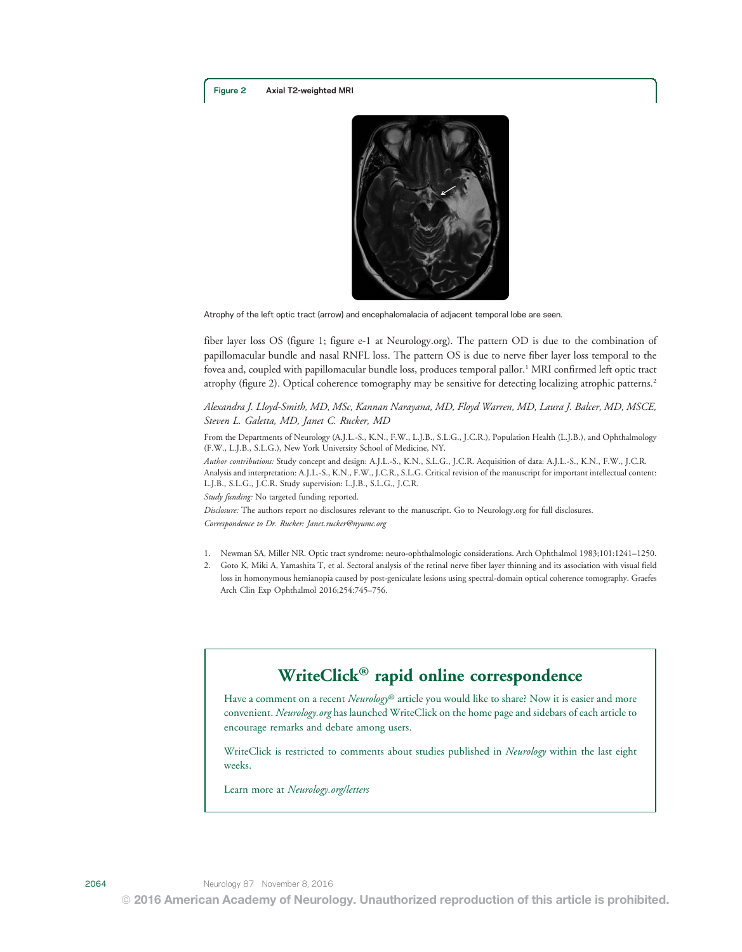

Atrophy of the left optic tract (arrow) and encephalomalacia of adjacent temporal lobe are seen.

fiber layer loss OS (figure 1; figure e-1 at [Neurology.org](http://neurology.org/lookup/doi/10.1212/WNL.0000000000003310)). The pattern OD is due to the combination of papillomacular bundle and nasal RNFL loss. The pattern OS is due to nerve fiber layer loss temporal to the fovea and, coupled with papillomacular bundle loss, produces temporal pallor.<sup>1</sup> MRI confirmed left optic tract atrophy (figure 2). Optical coherence tomography may be sensitive for detecting localizing atrophic patterns.2

Alexandra J. Lloyd-Smith, MD, MSc, Kannan Narayana, MD, Floyd Warren, MD, Laura J. Balcer, MD, MSCE, Steven L. Galetta, MD, Janet C. Rucker, MD

From the Departments of Neurology (A.J.L.-S., K.N., F.W., L.J.B., S.L.G., J.C.R.), Population Health (L.J.B.), and Ophthalmology (F.W., L.J.B., S.L.G.), New York University School of Medicine, NY.

Author contributions: Study concept and design: A.J.L.-S., K.N., S.L.G., J.C.R. Acquisition of data: A.J.L.-S., K.N., F.W., J.C.R. Analysis and interpretation: A.J.L.-S., K.N., F.W., J.C.R., S.L.G. Critical revision of the manuscript for important intellectual content: L.J.B., S.L.G., J.C.R. Study supervision: L.J.B., S.L.G., J.C.R.

Study funding: No targeted funding reported.

Disclosure: The authors report no disclosures relevant to the manuscript. Go to [Neurology.org](http://neurology.org/lookup/doi/10.1212/WNL.0000000000003310) for full disclosures.

Correspondence to Dr. Rucker: [Janet.rucker@nyumc.org](mailto:Janet.rucker@nyumc.org)

- 1. Newman SA, Miller NR. Optic tract syndrome: neuro-ophthalmologic considerations. Arch Ophthalmol 1983;101:1241–1250.
- 2. Goto K, Miki A, Yamashita T, et al. Sectoral analysis of the retinal nerve fiber layer thinning and its association with visual field loss in homonymous hemianopia caused by post-geniculate lesions using spectral-domain optical coherence tomography. Graefes Arch Clin Exp Ophthalmol 2016;254:745–756.

### WriteClick® rapid online correspondence

Have a comment on a recent Neurology® article you would like to share? Now it is easier and more convenient. Neurology.org has launched WriteClick on the home page and sidebars of each article to encourage remarks and debate among users.

WriteClick is restricted to comments about studies published in *Neurology* within the last eight weeks.

Learn more at Neurology.org/letters